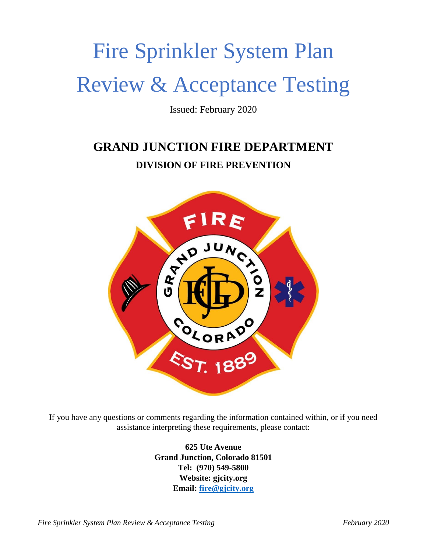# Fire Sprinkler System Plan Review & Acceptance Testing

Issued: February 2020

## **GRAND JUNCTION FIRE DEPARTMENT DIVISION OF FIRE PREVENTION**



If you have any questions or comments regarding the information contained within, or if you need assistance interpreting these requirements, please contact:

> **625 Ute Avenue Grand Junction, Colorado 81501 Tel: (970) 549-5800 Website: gjcity.org Email: [fire@gjcity.org](mailto:fire@gjcity.org)**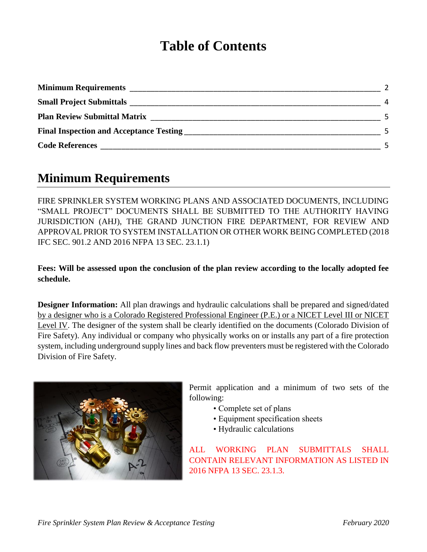## **Table of Contents**

| <b>Minimum Requirements</b>                    |  |
|------------------------------------------------|--|
| <b>Small Project Submittals</b>                |  |
| <b>Plan Review Submittal Matrix</b>            |  |
| <b>Final Inspection and Acceptance Testing</b> |  |
| <b>Code References</b>                         |  |

#### **Minimum Requirements**

FIRE SPRINKLER SYSTEM WORKING PLANS AND ASSOCIATED DOCUMENTS, INCLUDING "SMALL PROJECT" DOCUMENTS SHALL BE SUBMITTED TO THE AUTHORITY HAVING JURISDICTION (AHJ), THE GRAND JUNCTION FIRE DEPARTMENT, FOR REVIEW AND APPROVAL PRIOR TO SYSTEM INSTALLATION OR OTHER WORK BEING COMPLETED (2018 IFC SEC. 901.2 AND 2016 NFPA 13 SEC. 23.1.1)

**Fees: Will be assessed upon the conclusion of the plan review according to the locally adopted fee schedule.**

**Designer Information:** All plan drawings and hydraulic calculations shall be prepared and signed/dated by a designer who is a Colorado Registered Professional Engineer (P.E.) or a NICET Level III or NICET Level IV. The designer of the system shall be clearly identified on the documents (Colorado Division of Fire Safety). Any individual or company who physically works on or installs any part of a fire protection system, including underground supply lines and back flow preventers must be registered with the Colorado Division of Fire Safety.



Permit application and a minimum of two sets of the following:

- Complete set of plans
- Equipment specification sheets
- Hydraulic calculations

ALL WORKING PLAN SUBMITTALS SHALL CONTAIN RELEVANT INFORMATION AS LISTED IN 2016 NFPA 13 SEC. 23.1.3.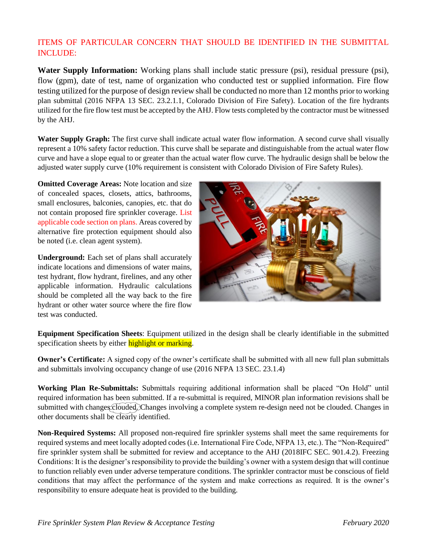#### ITEMS OF PARTICULAR CONCERN THAT SHOULD BE IDENTIFIED IN THE SUBMITTAL INCLUDE:

**Water Supply Information:** Working plans shall include static pressure (psi), residual pressure (psi), flow (gpm), date of test, name of organization who conducted test or supplied information. Fire flow testing utilized for the purpose of design review shall be conducted no more than 12 months prior to working plan submittal (2016 NFPA 13 SEC. 23.2.1.1, Colorado Division of Fire Safety). Location of the fire hydrants utilized for the fire flow test must be accepted by the AHJ. Flow tests completed by the contractor must be witnessed by the AHJ.

**Water Supply Graph:** The first curve shall indicate actual water flow information. A second curve shall visually represent a 10% safety factor reduction. This curve shall be separate and distinguishable from the actual water flow curve and have a slope equal to or greater than the actual water flow curve. The hydraulic design shall be below the adjusted water supply curve (10% requirement is consistent with Colorado Division of Fire Safety Rules).

**Omitted Coverage Areas:** Note location and size of concealed spaces, closets, attics, bathrooms, small enclosures, balconies, canopies, etc. that do not contain proposed fire sprinkler coverage. List applicable code section on plans. Areas covered by alternative fire protection equipment should also be noted (i.e. clean agent system).

**Underground:** Each set of plans shall accurately indicate locations and dimensions of water mains, test hydrant, flow hydrant, firelines, and any other applicable information. Hydraulic calculations should be completed all the way back to the fire hydrant or other water source where the fire flow test was conducted.



**Equipment Specification Sheets**: Equipment utilized in the design shall be clearly identifiable in the submitted specification sheets by either highlight or marking.

**Owner's Certificate:** A signed copy of the owner's certificate shall be submitted with all new full plan submittals and submittals involving occupancy change of use (2016 NFPA 13 SEC. 23.1.4)

**Working Plan Re-Submittals:** Submittals requiring additional information shall be placed "On Hold" until required information has been submitted. If a re-submittal is required, MINOR plan information revisions shall be submitted with changes clouded. Changes involving a complete system re-design need not be clouded. Changes in other documents shall be clearly identified.

**Non-Required Systems:** All proposed non-required fire sprinkler systems shall meet the same requirements for required systems and meet locally adopted codes (i.e. International Fire Code, NFPA 13, etc.). The "Non-Required" fire sprinkler system shall be submitted for review and acceptance to the AHJ (2018IFC SEC. 901.4.2). Freezing Conditions: It is the designer's responsibility to provide the building's owner with a system design that will continue to function reliably even under adverse temperature conditions. The sprinkler contractor must be conscious of field conditions that may affect the performance of the system and make corrections as required. It is the owner's responsibility to ensure adequate heat is provided to the building.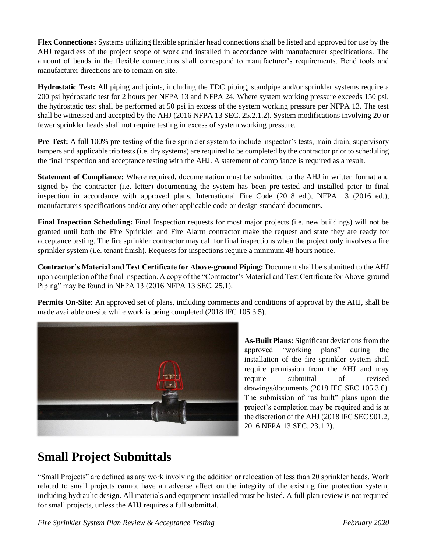**Flex Connections:** Systems utilizing flexible sprinkler head connections shall be listed and approved for use by the AHJ regardless of the project scope of work and installed in accordance with manufacturer specifications. The amount of bends in the flexible connections shall correspond to manufacturer's requirements. Bend tools and manufacturer directions are to remain on site.

**Hydrostatic Test:** All piping and joints, including the FDC piping, standpipe and/or sprinkler systems require a 200 psi hydrostatic test for 2 hours per NFPA 13 and NFPA 24. Where system working pressure exceeds 150 psi, the hydrostatic test shall be performed at 50 psi in excess of the system working pressure per NFPA 13. The test shall be witnessed and accepted by the AHJ (2016 NFPA 13 SEC. 25.2.1.2). System modifications involving 20 or fewer sprinkler heads shall not require testing in excess of system working pressure.

**Pre-Test:** A full 100% pre-testing of the fire sprinkler system to include inspector's tests, main drain, supervisory tampers and applicable trip tests (i.e. dry systems) are required to be completed by the contractor prior to scheduling the final inspection and acceptance testing with the AHJ. A statement of compliance is required as a result.

**Statement of Compliance:** Where required, documentation must be submitted to the AHJ in written format and signed by the contractor (i.e. letter) documenting the system has been pre-tested and installed prior to final inspection in accordance with approved plans, International Fire Code (2018 ed.), NFPA 13 (2016 ed.), manufacturers specifications and/or any other applicable code or design standard documents.

**Final Inspection Scheduling:** Final Inspection requests for most major projects (i.e. new buildings) will not be granted until both the Fire Sprinkler and Fire Alarm contractor make the request and state they are ready for acceptance testing. The fire sprinkler contractor may call for final inspections when the project only involves a fire sprinkler system (i.e. tenant finish). Requests for inspections require a minimum 48 hours notice.

**Contractor's Material and Test Certificate for Above-ground Piping:** Document shall be submitted to the AHJ upon completion of the final inspection. A copy of the "Contractor's Material and Test Certificate for Above-ground Piping" may be found in NFPA 13 (2016 NFPA 13 SEC. 25.1).

**Permits On-Site:** An approved set of plans, including comments and conditions of approval by the AHJ, shall be made available on-site while work is being completed (2018 IFC 105.3.5).



**As-Built Plans:** Significant deviations from the approved "working plans" during the installation of the fire sprinkler system shall require permission from the AHJ and may require submittal of revised drawings/documents (2018 IFC SEC 105.3.6). The submission of "as built" plans upon the project's completion may be required and is at the discretion of the AHJ (2018 IFC SEC 901.2, 2016 NFPA 13 SEC. 23.1.2).

## **Small Project Submittals**

"Small Projects" are defined as any work involving the addition or relocation of less than 20 sprinkler heads. Work related to small projects cannot have an adverse affect on the integrity of the existing fire protection system, including hydraulic design. All materials and equipment installed must be listed. A full plan review is not required for small projects, unless the AHJ requires a full submittal.